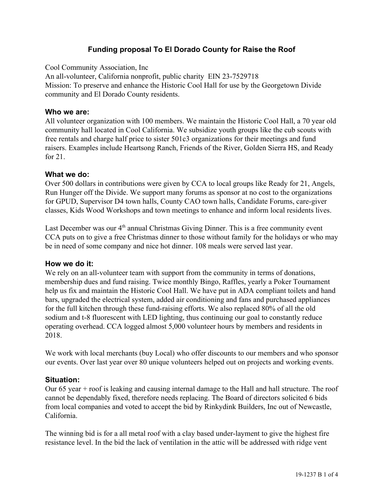# **Funding proposal To El Dorado County for Raise the Roof**

Cool Community Association, Inc

An all-volunteer, California nonprofit, public charity EIN 23-7529718 Mission: To preserve and enhance the Historic Cool Hall for use by the Georgetown Divide community and El Dorado County residents.

## **Who we are:**

All volunteer organization with 100 members. We maintain the Historic Cool Hall, a 70 year old community hall located in Cool California. We subsidize youth groups like the cub scouts with free rentals and charge half price to sister 501c3 organizations for their meetings and fund raisers. Examples include Heartsong Ranch, Friends of the River, Golden Sierra HS, and Ready for 21.

## **What we do:**

Over 500 dollars in contributions were given by CCA to local groups like Ready for 21, Angels, Run Hunger off the Divide. We support many forums as sponsor at no cost to the organizations for GPUD, Supervisor D4 town halls, County CAO town halls, Candidate Forums, care-giver classes, Kids Wood Workshops and town meetings to enhance and inform local residents lives.

Last December was our 4<sup>th</sup> annual Christmas Giving Dinner. This is a free community event CCA puts on to give a free Christmas dinner to those without family for the holidays or who may be in need of some company and nice hot dinner. 108 meals were served last year.

## **How we do it:**

We rely on an all-volunteer team with support from the community in terms of donations, membership dues and fund raising. Twice monthly Bingo, Raffles, yearly a Poker Tournament help us fix and maintain the Historic Cool Hall. We have put in ADA compliant toilets and hand bars, upgraded the electrical system, added air conditioning and fans and purchased appliances for the full kitchen through these fund-raising efforts. We also replaced 80% of all the old sodium and t-8 fluorescent with LED lighting, thus continuing our goal to constantly reduce operating overhead. CCA logged almost 5,000 volunteer hours by members and residents in 2018.

We work with local merchants (buy Local) who offer discounts to our members and who sponsor our events. Over last year over 80 unique volunteers helped out on projects and working events.

# **Situation:**

Our 65 year + roof is leaking and causing internal damage to the Hall and hall structure. The roof cannot be dependably fixed, therefore needs replacing. The Board of directors solicited 6 bids from local companies and voted to accept the bid by Rinkydink Builders, Inc out of Newcastle, California.

The winning bid is for a all metal roof with a clay based under-layment to give the highest fire resistance level. In the bid the lack of ventilation in the attic will be addressed with ridge vent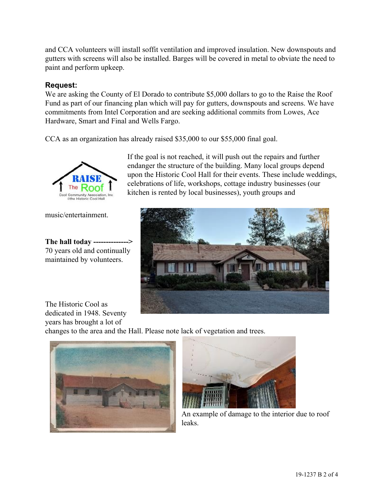and CCA volunteers will install soffit ventilation and improved insulation. New downspouts and gutters with screens will also be installed. Barges will be covered in metal to obviate the need to paint and perform upkeep.

# **Request:**

We are asking the County of El Dorado to contribute \$5,000 dollars to go to the Raise the Roof Fund as part of our financing plan which will pay for gutters, downspouts and screens. We have commitments from Intel Corporation and are seeking additional commits from Lowes, Ace Hardware, Smart and Final and Wells Fargo.

CCA as an organization has already raised \$35,000 to our \$55,000 final goal.



music/entertainment.

**The hall today -------------->** 70 years old and continually maintained by volunteers.

If the goal is not reached, it will push out the repairs and further endanger the structure of the building. Many local groups depend upon the Historic Cool Hall for their events. These include weddings, celebrations of life, workshops, cottage industry businesses (our kitchen is rented by local businesses), youth groups and



The Historic Cool as dedicated in 1948. Seventy years has brought a lot of

changes to the area and the Hall. Please note lack of vegetation and trees.





An example of damage to the interior due to roof leaks.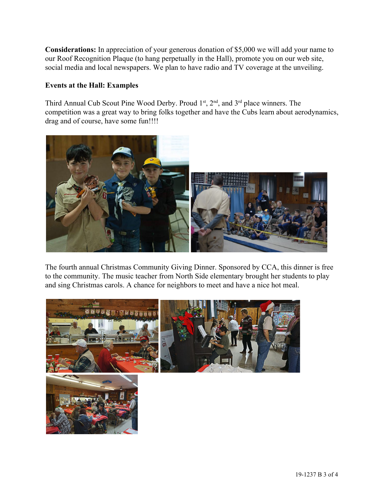**Considerations:** In appreciation of your generous donation of \$5,000 we will add your name to our Roof Recognition Plaque (to hang perpetually in the Hall), promote you on our web site, social media and local newspapers. We plan to have radio and TV coverage at the unveiling.

## **Events at the Hall: Examples**

Third Annual Cub Scout Pine Wood Derby. Proud  $1<sup>st</sup>$ ,  $2<sup>nd</sup>$ , and  $3<sup>rd</sup>$  place winners. The competition was a great way to bring folks together and have the Cubs learn about aerodynamics, drag and of course, have some fun!!!!



The fourth annual Christmas Community Giving Dinner. Sponsored by CCA, this dinner is free to the community. The music teacher from North Side elementary brought her students to play and sing Christmas carols. A chance for neighbors to meet and have a nice hot meal.